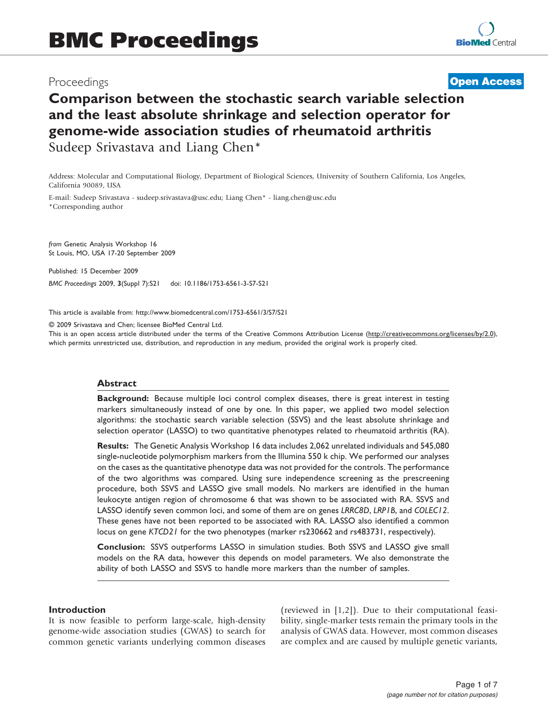# Proceedings

# **[Open Access](http://www.biomedcentral.com/info/about/charter/)**

# Comparison between the stochastic search variable selection and the least absolute shrinkage and selection operator for genome-wide association studies of rheumatoid arthritis Sudeep Srivastava and Liang Chen\*

Address: Molecular and Computational Biology, Department of Biological Sciences, University of Southern California, Los Angeles, California 90089, USA

E-mail: Sudeep Srivastava - [sudeep.srivastava@usc.edu](mailto:sudeep.srivastava@usc.edu); Liang Chen\* - [liang.chen@usc.edu](mailto:liang.chen@usc.edu) \*Corresponding author

from Genetic Analysis Workshop 16 St Louis, MO, USA 17-20 September 2009

Published: 15 December 2009 BMC Proceedings 2009, 3(Suppl 7):S21 doi: 10.1186/1753-6561-3-S7-S21

This article is available from: http://www.biomedcentral.com/1753-6561/3/S7/S21

© 2009 Srivastava and Chen; licensee BioMed Central Ltd.

This is an open access article distributed under the terms of the Creative Commons Attribution License [\(http://creativecommons.org/licenses/by/2.0\)](http://creativecommons.org/licenses/by/2.0), which permits unrestricted use, distribution, and reproduction in any medium, provided the original work is properly cited.

#### Abstract

**Background:** Because multiple loci control complex diseases, there is great interest in testing markers simultaneously instead of one by one. In this paper, we applied two model selection algorithms: the stochastic search variable selection (SSVS) and the least absolute shrinkage and selection operator (LASSO) to two quantitative phenotypes related to rheumatoid arthritis (RA).

Results: The Genetic Analysis Workshop 16 data includes 2,062 unrelated individuals and 545,080 single-nucleotide polymorphism markers from the Illumina 550 k chip. We performed our analyses on the cases as the quantitative phenotype data was not provided for the controls. The performance of the two algorithms was compared. Using sure independence screening as the prescreening procedure, both SSVS and LASSO give small models. No markers are identified in the human leukocyte antigen region of chromosome 6 that was shown to be associated with RA. SSVS and LASSO identify seven common loci, and some of them are on genes LRRC8D, LRPIB, and COLEC12. These genes have not been reported to be associated with RA. LASSO also identified a common locus on gene KTCD21 for the two phenotypes (marker rs230662 and rs483731, respectively).

Conclusion: SSVS outperforms LASSO in simulation studies. Both SSVS and LASSO give small models on the RA data, however this depends on model parameters. We also demonstrate the ability of both LASSO and SSVS to handle more markers than the number of samples.

#### Introduction

It is now feasible to perform large-scale, high-density genome-wide association studies (GWAS) to search for common genetic variants underlying common diseases (reviewed in [\[1,2\]](#page-5-0)). Due to their computational feasibility, single-marker tests remain the primary tools in the analysis of GWAS data. However, most common diseases are complex and are caused by multiple genetic variants,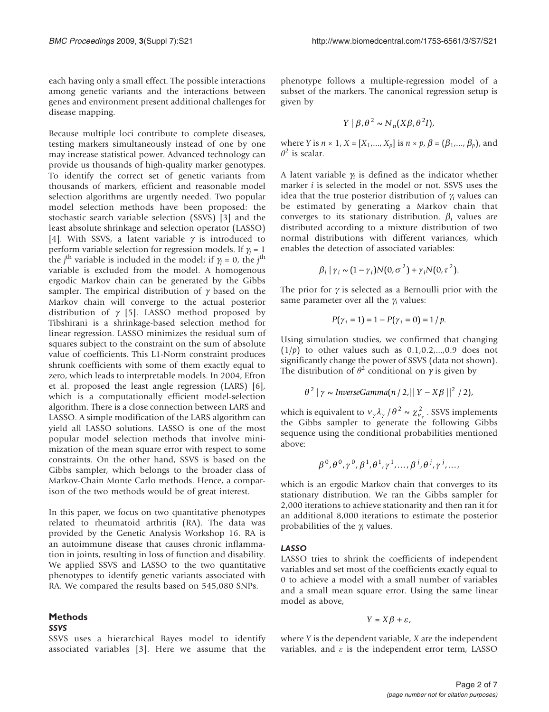each having only a small effect. The possible interactions among genetic variants and the interactions between genes and environment present additional challenges for disease mapping.

Because multiple loci contribute to complete diseases, testing markers simultaneously instead of one by one may increase statistical power. Advanced technology can provide us thousands of high-quality marker genotypes. To identify the correct set of genetic variants from thousands of markers, efficient and reasonable model selection algorithms are urgently needed. Two popular model selection methods have been proposed: the stochastic search variable selection (SSVS) [[3](#page-5-0)] and the least absolute shrinkage and selection operator (LASSO) [[4](#page-5-0)]. With SSVS, a latent variable  $\gamma$  is introduced to perform variable selection for regression models. If  $\gamma_i = 1$ the *j*<sup>th</sup> variable is included in the model; if  $\gamma_j = 0$ , the *j*<sup>th</sup> variable is excluded from the model. A homogenous variable is excluded from the model. A homogenous ergodic Markov chain can be generated by the Gibbs sampler. The empirical distribution of  $\gamma$  based on the Markov chain will converge to the actual posterior distribution of  $\gamma$  [\[5\]](#page-5-0). LASSO method proposed by Tibshirani is a shrinkage-based selection method for linear regression. LASSO minimizes the residual sum of squares subject to the constraint on the sum of absolute value of coefficients. This L1-Norm constraint produces shrunk coefficients with some of them exactly equal to zero, which leads to interpretable models. In 2004, Efron et al. proposed the least angle regression (LARS) [[6](#page-6-0)], which is a computationally efficient model-selection algorithm. There is a close connection between LARS and LASSO. A simple modification of the LARS algorithm can yield all LASSO solutions. LASSO is one of the most popular model selection methods that involve minimization of the mean square error with respect to some constraints. On the other hand, SSVS is based on the Gibbs sampler, which belongs to the broader class of Markov-Chain Monte Carlo methods. Hence, a comparison of the two methods would be of great interest.

In this paper, we focus on two quantitative phenotypes related to rheumatoid arthritis (RA). The data was provided by the Genetic Analysis Workshop 16. RA is an autoimmune disease that causes chronic inflammation in joints, resulting in loss of function and disability. We applied SSVS and LASSO to the two quantitative phenotypes to identify genetic variants associated with RA. We compared the results based on 545,080 SNPs.

## Methods

#### SSVS

SSVS uses a hierarchical Bayes model to identify associated variables [\[3\]](#page-5-0). Here we assume that the phenotype follows a multiple-regression model of a subset of the markers. The canonical regression setup is given by

$$
Y \mid \beta, \theta^2 \sim N_n(X\beta, \theta^2 I),
$$

where *Y* is  $n \times 1$ ,  $X = [X_1, ..., X_p]$  is  $n \times p$ ,  $\beta = (\beta_1, ..., \beta_p)$ , and  $\theta^2$  is scalar.

A latent variable  $\gamma_i$  is defined as the indicator whether marker i is selected in the model or not. SSVS uses the idea that the true posterior distribution of  $\gamma_i$  values can be estimated by generating a Markov chain that converges to its stationary distribution.  $\beta_i$  values are distributed according to a mixture distribution of two normal distributions with different variances, which enables the detection of associated variables:

$$
\beta_i | \gamma_i \sim (1 - \gamma_i) N(0, \sigma^2) + \gamma_i N(0, \tau^2).
$$

The prior for  $\gamma$  is selected as a Bernoulli prior with the same parameter over all the  $\gamma_i$  values:

$$
P(\gamma_i = 1) = 1 - P(\gamma_i = 0) = 1/p.
$$

Using simulation studies, we confirmed that changing  $(1/p)$  to other values such as  $0.1, 0.2,..., 0.9$  does not significantly change the power of SSVS (data not shown). The distribution of  $\theta^2$  conditional on  $\gamma$  is given by

$$
\theta^2 | \gamma \sim \text{InverseGamma}(n/2, ||Y - X\beta||^2 / 2),
$$

which is equivalent to  $v_{\gamma} \lambda_{\gamma} / \theta^2 \sim \chi_{v_{\gamma}}^2$ . SSVS implements the Gibbs sampler to generate the following Gibbs sequence using the conditional probabilities mentioned above:

$$
\beta^0, \theta^0, \gamma^0, \beta^1, \theta^1, \gamma^1, \ldots, \beta^j, \theta^j, \gamma^j, \ldots,
$$

which is an ergodic Markov chain that converges to its stationary distribution. We ran the Gibbs sampler for 2,000 iterations to achieve stationarity and then ran it for an additional 8,000 iterations to estimate the posterior probabilities of the  $\gamma$  values.

#### LASSO

LASSO tries to shrink the coefficients of independent variables and set most of the coefficients exactly equal to 0 to achieve a model with a small number of variables and a small mean square error. Using the same linear model as above,

$$
Y=X\beta+\varepsilon,
$$

where Y is the dependent variable, X are the independent variables, and  $\varepsilon$  is the independent error term, LASSO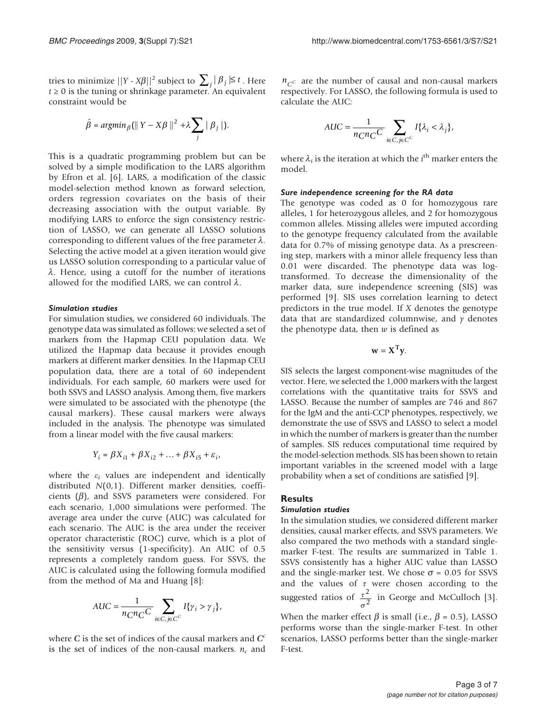tries to minimize  $||Y - X\beta||^2$  subject to  $\sum_i |\beta_i| \leq t$ . Here  $t \geq 0$  is the tuning or shrinkage parameter. An equivalent constraint would be

$$
\hat{\beta} = argmin_{\beta} (\parallel Y - X\beta \parallel^{2} + \lambda \sum_{j} | \beta_{j} |).
$$

This is a quadratic programming problem but can be solved by a simple modification to the LARS algorithm by Efron et al. [[6](#page-6-0)]. LARS, a modification of the classic model-selection method known as forward selection, orders regression covariates on the basis of their decreasing association with the output variable. By modifying LARS to enforce the sign consistency restriction of LASSO, we can generate all LASSO solutions corresponding to different values of the free parameter  $\lambda$ . Selecting the active model at a given iteration would give us LASSO solution corresponding to a particular value of  $\lambda$ . Hence, using a cutoff for the number of iterations allowed for the modified LARS, we can control  $\lambda$ .

#### Simulation studies

For simulation studies, we considered 60 individuals. The genotype data was simulated as follows: we selected a set of markers from the Hapmap CEU population data. We utilized the Hapmap data because it provides enough markers at different marker densities. In the Hapmap CEU population data, there are a total of 60 independent individuals. For each sample, 60 markers were used for both SSVS and LASSO analysis. Among them, five markers were simulated to be associated with the phenotype (the causal markers). These causal markers were always included in the analysis. The phenotype was simulated from a linear model with the five causal markers:

$$
Y_i = \beta X_{i1} + \beta X_{i2} + \dots + \beta X_{i5} + \varepsilon_i,
$$

where the  $\varepsilon_i$  values are independent and identically distributed N(0,1). Different marker densities, coefficients  $(\beta)$ , and SSVS parameters were considered. For each scenario, 1,000 simulations were performed. The average area under the curve (AUC) was calculated for each scenario. The AUC is the area under the receiver operator characteristic (ROC) curve, which is a plot of the sensitivity versus (1-specificity). An AUC of 0.5 represents a completely random guess. For SSVS, the AUC is calculated using the following formula modified from the method of Ma and Huang [\[8\]](#page-6-0):

$$
AUC = \frac{1}{n_{C}n_{C}C} \sum_{i \in C, j \in C} I\{\gamma_{i} > \gamma_{j}\},\,
$$

where C is the set of indices of the causal markers and  $C^c$ is the set of indices of the non-causal markers.  $n_c$  and

 $n_{C}$  are the number of causal and non-causal markers respectively. For LASSO, the following formula is used to calculate the AUC:

$$
AUC = \frac{1}{n_{C}n_{C}C} \sum_{i \in C, j \in C} I\{\lambda_{i} < \lambda_{j}\},
$$

where  $\lambda_i$  is the iteration at which the *i*<sup>th</sup> marker enters the model model.

## Sure independence screening for the RA data

The genotype was coded as 0 for homozygous rare alleles, 1 for heterozygous alleles, and 2 for homozygous common alleles. Missing alleles were imputed according to the genotype frequency calculated from the available data for 0.7% of missing genotype data. As a prescreening step, markers with a minor allele frequency less than 0.01 were discarded. The phenotype data was logtransformed. To decrease the dimensionality of the marker data, sure independence screening (SIS) was performed [\[9\]](#page-6-0). SIS uses correlation learning to detect predictors in the true model. If X denotes the genotype data that are standardized columnwise, and  $y$  denotes the phenotype data, then  $w$  is defined as

$$
\mathbf{w} = \mathbf{X}^{\mathrm{T}} \mathbf{y}.
$$

SIS selects the largest component-wise magnitudes of the vector. Here, we selected the 1,000 markers with the largest correlations with the quantitative traits for SSVS and LASSO. Because the number of samples are 746 and 867 for the IgM and the anti-CCP phenotypes, respectively, we demonstrate the use of SSVS and LASSO to select a model in which the number of markers is greater than the number of samples. SIS reduces computational time required by the model-selection methods. SIS has been shown to retain important variables in the screened model with a large probability when a set of conditions are satisfied [\[9\]](#page-6-0).

# **Results**

#### Simulation studies

In the simulation studies, we considered different marker densities, causal marker effects, and SSVS parameters. We also compared the two methods with a standard singlemarker F-test. The results are summarized in [Table 1.](#page-3-0) SSVS consistently has a higher AUC value than LASSO and the single-marker test. We chose  $\sigma$  = 0.05 for SSVS and the values of  $\tau$  were chosen according to the suggested ratios of  $\frac{\tau}{\sigma}$  $\frac{2}{2}$  in George and McCulloch [[3](#page-5-0)]. When the marker effect  $\beta$  is small (i.e.,  $\beta$  = 0.5), LASSO

performs worse than the single-marker F-test. In other scenarios, LASSO performs better than the single-marker F-test.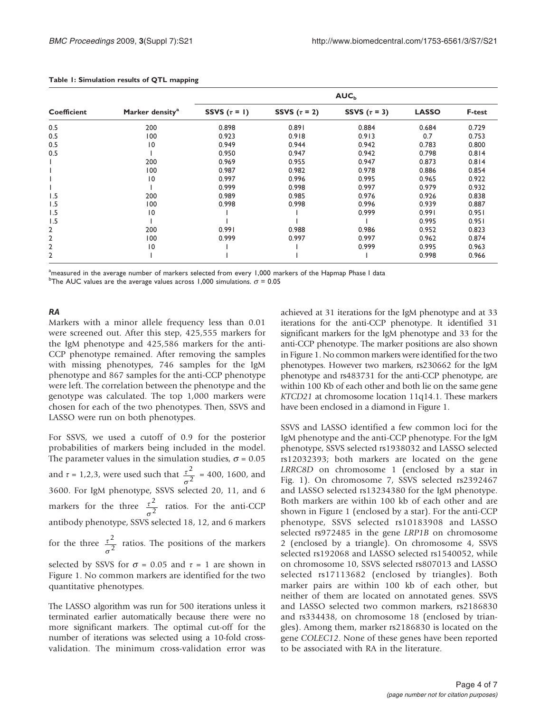| Coefficient    | Marker density <sup>a</sup> | AUC <sub>h</sub>  |                   |                   |              |        |
|----------------|-----------------------------|-------------------|-------------------|-------------------|--------------|--------|
|                |                             | SSVS $(\tau = 1)$ | SSVS $(\tau = 2)$ | SSVS $(\tau = 3)$ | <b>LASSO</b> | F-test |
| 0.5            | 200                         | 0.898             | 0.891             | 0.884             | 0.684        | 0.729  |
| 0.5            | 100                         | 0.923             | 0.918             | 0.913             | 0.7          | 0.753  |
| 0.5            | $\overline{10}$             | 0.949             | 0.944             | 0.942             | 0.783        | 0.800  |
| 0.5            |                             | 0.950             | 0.947             | 0.942             | 0.798        | 0.814  |
|                | 200                         | 0.969             | 0.955             | 0.947             | 0.873        | 0.814  |
|                | 100                         | 0.987             | 0.982             | 0.978             | 0.886        | 0.854  |
|                | $\overline{0}$              | 0.997             | 0.996             | 0.995             | 0.965        | 0.922  |
|                |                             | 0.999             | 0.998             | 0.997             | 0.979        | 0.932  |
| 1.5            | 200                         | 0.989             | 0.985             | 0.976             | 0.926        | 0.838  |
| 1.5            | 100                         | 0.998             | 0.998             | 0.996             | 0.939        | 0.887  |
| 1.5            | 10                          |                   |                   | 0.999             | 0.991        | 0.951  |
| 1.5            |                             |                   |                   |                   | 0.995        | 0.951  |
| 2              | 200                         | 0.991             | 0.988             | 0.986             | 0.952        | 0.823  |
| 2              | 100                         | 0.999             | 0.997             | 0.997             | 0.962        | 0.874  |
| 2              | $\overline{10}$             |                   |                   | 0.999             | 0.995        | 0.963  |
| $\overline{2}$ |                             |                   |                   |                   | 0.998        | 0.966  |

#### <span id="page-3-0"></span>Table 1: Simulation results of QTL mapping

<sup>a</sup>measured in the average number of markers selected from every 1,000 markers of the Hapmap Phase I data

<sup>b</sup>The AUC values are the average values across 1,000 simulations.  $\sigma$  = 0.05

RA

Markers with a minor allele frequency less than 0.01 were screened out. After this step, 425,555 markers for the IgM phenotype and 425,586 markers for the anti-CCP phenotype remained. After removing the samples with missing phenotypes, 746 samples for the IgM phenotype and 867 samples for the anti-CCP phenotype were left. The correlation between the phenotype and the genotype was calculated. The top 1,000 markers were chosen for each of the two phenotypes. Then, SSVS and LASSO were run on both phenotypes.

For SSVS, we used a cutoff of 0.9 for the posterior probabilities of markers being included in the model. The parameter values in the simulation studies,  $\sigma$  = 0.05 and  $\tau = 1,2,3$ , were used such that  $\frac{\tau}{\sigma}$  $\frac{2}{2}$  = 400, 1600, and 3600. For IgM phenotype, SSVS selected 20, 11, and 6 markers for the three  $\frac{\tau}{\sigma}$  $\frac{2}{2}$  ratios. For the anti-CCP antibody phenotype, SSVS selected 18, 12, and 6 markers for the three  $\frac{\tau}{\sigma}$  $\frac{2}{2}$  ratios. The positions of the markers selected by SSVS for  $\sigma = 0.05$  and  $\tau = 1$  are shown in [Figure 1.](#page-4-0) No common markers are identified for the two

The LASSO algorithm was run for 500 iterations unless it terminated earlier automatically because there were no more significant markers. The optimal cut-off for the number of iterations was selected using a 10-fold crossvalidation. The minimum cross-validation error was

quantitative phenotypes.

achieved at 31 iterations for the IgM phenotype and at 33 iterations for the anti-CCP phenotype. It identified 31 significant markers for the IgM phenotype and 33 for the anti-CCP phenotype. The marker positions are also shown in [Figure 1.](#page-4-0) No common markers were identified for the two phenotypes. However two markers, rs230662 for the IgM phenotype and rs483731 for the anti-CCP phenotype, are within 100 Kb of each other and both lie on the same gene KTCD21 at chromosome location 11q14.1. These markers have been enclosed in a diamond in [Figure 1](#page-4-0).

SSVS and LASSO identified a few common loci for the IgM phenotype and the anti-CCP phenotype. For the IgM phenotype, SSVS selected rs1938032 and LASSO selected rs12032393; both markers are located on the gene LRRC8D on chromosome 1 (enclosed by a star in Fig. [1\)](#page-4-0). On chromosome 7, SSVS selected rs2392467 and LASSO selected rs13234380 for the IgM phenotype. Both markers are within 100 kb of each other and are shown in [Figure 1](#page-4-0) (enclosed by a star). For the anti-CCP phenotype, SSVS selected rs10183908 and LASSO selected rs972485 in the gene LRP1B on chromosome 2 (enclosed by a triangle). On chromosome 4, SSVS selected rs192068 and LASSO selected rs1540052, while on chromosome 10, SSVS selected rs807013 and LASSO selected rs17113682 (enclosed by triangles). Both marker pairs are within 100 kb of each other, but neither of them are located on annotated genes. SSVS and LASSO selected two common markers, rs2186830 and rs334438, on chromosome 18 (enclosed by triangles). Among them, marker rs2186830 is located on the gene COLEC12. None of these genes have been reported to be associated with RA in the literature.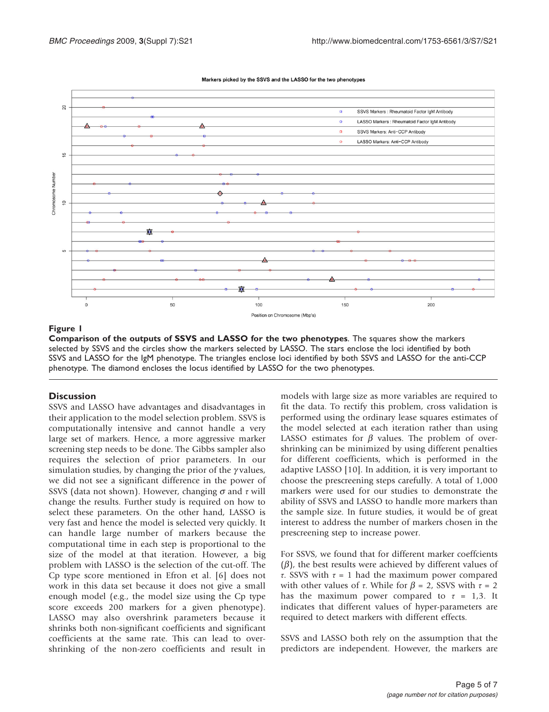<span id="page-4-0"></span>

#### Markers picked by the SSVS and the LASSO for the two phenotypes

# Figure 1

Comparison of the outputs of SSVS and LASSO for the two phenotypes. The squares show the markers selected by SSVS and the circles show the markers selected by LASSO. The stars enclose the loci identified by both SSVS and LASSO for the IgM phenotype. The triangles enclose loci identified by both SSVS and LASSO for the anti-CCP phenotype. The diamond encloses the locus identified by LASSO for the two phenotypes.

# **Discussion**

SSVS and LASSO have advantages and disadvantages in their application to the model selection problem. SSVS is computationally intensive and cannot handle a very large set of markers. Hence, a more aggressive marker screening step needs to be done. The Gibbs sampler also requires the selection of prior parameters. In our simulation studies, by changing the prior of the  $\gamma$  values, we did not see a significant difference in the power of SSVS (data not shown). However, changing  $\sigma$  and  $\tau$  will change the results. Further study is required on how to select these parameters. On the other hand, LASSO is very fast and hence the model is selected very quickly. It can handle large number of markers because the computational time in each step is proportional to the size of the model at that iteration. However, a big problem with LASSO is the selection of the cut-off. The Cp type score mentioned in Efron et al. [[6](#page-6-0)] does not work in this data set because it does not give a small enough model (e.g., the model size using the Cp type score exceeds 200 markers for a given phenotype). LASSO may also overshrink parameters because it shrinks both non-significant coefficients and significant coefficients at the same rate. This can lead to overshrinking of the non-zero coefficients and result in models with large size as more variables are required to fit the data. To rectify this problem, cross validation is performed using the ordinary lease squares estimates of the model selected at each iteration rather than using LASSO estimates for  $\beta$  values. The problem of overshrinking can be minimized by using different penalties for different coefficients, which is performed in the adaptive LASSO [\[10](#page-6-0)]. In addition, it is very important to choose the prescreening steps carefully. A total of 1,000 markers were used for our studies to demonstrate the ability of SSVS and LASSO to handle more markers than the sample size. In future studies, it would be of great interest to address the number of markers chosen in the prescreening step to increase power.

For SSVS, we found that for different marker coeffcients  $(\beta)$ , the best results were achieved by different values of τ. SSVS with τ = 1 had the maximum power compared with other values of  $\tau$ . While for  $\beta = 2$ , SSVS with  $\tau = 2$ has the maximum power compared to  $\tau = 1.3$ . It indicates that different values of hyper-parameters are required to detect markers with different effects.

SSVS and LASSO both rely on the assumption that the predictors are independent. However, the markers are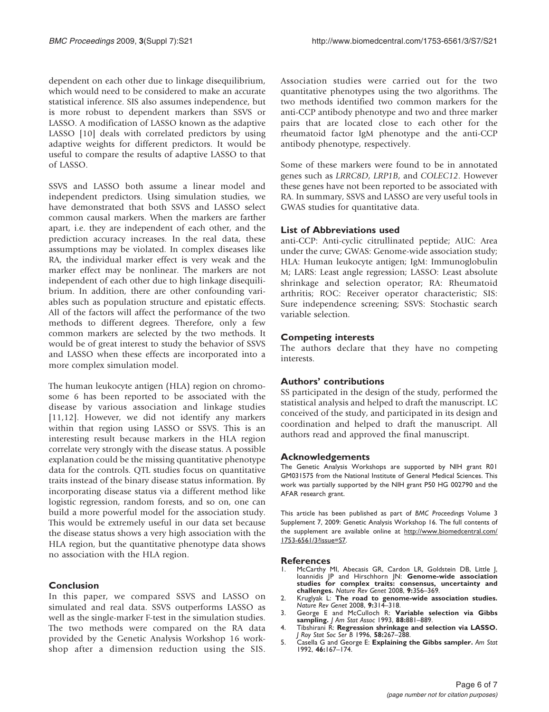<span id="page-5-0"></span>dependent on each other due to linkage disequilibrium, which would need to be considered to make an accurate statistical inference. SIS also assumes independence, but is more robust to dependent markers than SSVS or LASSO. A modification of LASSO known as the adaptive LASSO [[10\]](#page-6-0) deals with correlated predictors by using adaptive weights for different predictors. It would be useful to compare the results of adaptive LASSO to that of LASSO.

SSVS and LASSO both assume a linear model and independent predictors. Using simulation studies, we have demonstrated that both SSVS and LASSO select common causal markers. When the markers are farther apart, i.e. they are independent of each other, and the prediction accuracy increases. In the real data, these assumptions may be violated. In complex diseases like RA, the individual marker effect is very weak and the marker effect may be nonlinear. The markers are not independent of each other due to high linkage disequilibrium. In addition, there are other confounding variables such as population structure and epistatic effects. All of the factors will affect the performance of the two methods to different degrees. Therefore, only a few common markers are selected by the two methods. It would be of great interest to study the behavior of SSVS and LASSO when these effects are incorporated into a more complex simulation model.

The human leukocyte antigen (HLA) region on chromosome 6 has been reported to be associated with the disease by various association and linkage studies [[11,12\]](#page-6-0). However, we did not identify any markers within that region using LASSO or SSVS. This is an interesting result because markers in the HLA region correlate very strongly with the disease status. A possible explanation could be the missing quantitative phenotype data for the controls. QTL studies focus on quantitative traits instead of the binary disease status information. By incorporating disease status via a different method like logistic regression, random forests, and so on, one can build a more powerful model for the association study. This would be extremely useful in our data set because the disease status shows a very high association with the HLA region, but the quantitative phenotype data shows no association with the HLA region.

# Conclusion

In this paper, we compared SSVS and LASSO on simulated and real data. SSVS outperforms LASSO as well as the single-marker F-test in the simulation studies. The two methods were compared on the RA data provided by the Genetic Analysis Workshop 16 workshop after a dimension reduction using the SIS.

Association studies were carried out for the two quantitative phenotypes using the two algorithms. The two methods identified two common markers for the anti-CCP antibody phenotype and two and three marker pairs that are located close to each other for the rheumatoid factor IgM phenotype and the anti-CCP antibody phenotype, respectively.

Some of these markers were found to be in annotated genes such as LRRC8D, LRP1B, and COLEC12. However these genes have not been reported to be associated with RA. In summary, SSVS and LASSO are very useful tools in GWAS studies for quantitative data.

# List of Abbreviations used

anti-CCP: Anti-cyclic citrullinated peptide; AUC: Area under the curve; GWAS: Genome-wide association study; HLA: Human leukocyte antigen; IgM: Immunoglobulin M; LARS: Least angle regression; LASSO: Least absolute shrinkage and selection operator; RA: Rheumatoid arthritis; ROC: Receiver operator characteristic; SIS: Sure independence screening; SSVS: Stochastic search variable selection.

# Competing interests

The authors declare that they have no competing interests.

# Authors' contributions

SS participated in the design of the study, performed the statistical analysis and helped to draft the manuscript. LC conceived of the study, and participated in its design and coordination and helped to draft the manuscript. All authors read and approved the final manuscript.

## Acknowledgements

The Genetic Analysis Workshops are supported by NIH grant R01 GM031575 from the National Institute of General Medical Sciences. This work was partially supported by the NIH grant P50 HG 002790 and the AFAR research grant.

This article has been published as part of BMC Proceedings Volume 3 Supplement 7, 2009: Genetic Analysis Workshop 16. The full contents of the supplement are available online at [http://www.biomedcentral.com/](http://www.biomedcentral.com/1753-6561/3?issue=S7) [1753-6561/3?issue=S7](http://www.biomedcentral.com/1753-6561/3?issue=S7).

#### References

- McCarthy MI, Abecasis GR, Cardon LR, Goldstein DB, Little J, Ioannidis JP and Hirschhorn JN: [Genome-wide association](http://www.ncbi.nlm.nih.gov/pubmed/18398418?dopt=Abstract) [studies for complex traits: consensus, uncertainty and](http://www.ncbi.nlm.nih.gov/pubmed/18398418?dopt=Abstract) [challenges.](http://www.ncbi.nlm.nih.gov/pubmed/18398418?dopt=Abstract) Nature Rev Genet 2008, 9:356–369.
- 2. Kruglyak L: [The road to genome-wide association studies.](http://www.ncbi.nlm.nih.gov/pubmed/18283274?dopt=Abstract) Nature Rev Genet 2008, 9:314–318.
- 3. George E and McCulloch R: Variable selection via Gibbs sampling. J Am Stat Assoc 1993, 88:881–889.
- 4. Tibshirani R: Regression shrinkage and selection via LASSO. J Roy Stat Soc Ser B 1996, 58:267–288.
- 5. Casella G and George E: Explaining the Gibbs sampler. Am Stat 1992, 46:167–174.